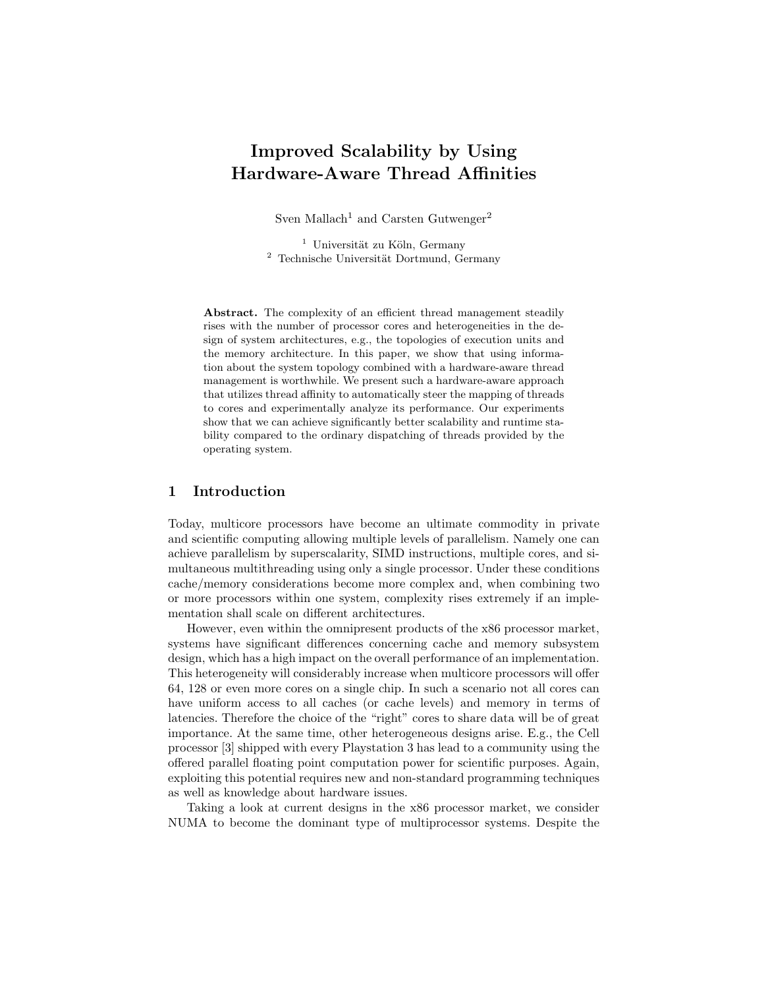# Improved Scalability by Using Hardware-Aware Thread Affinities

Sven Mallach<sup>1</sup> and Carsten Gutwenger<sup>2</sup>

 $^{\rm 1}$ Universität zu Köln, Germany  $2$  Technische Universität Dortmund, Germany

Abstract. The complexity of an efficient thread management steadily rises with the number of processor cores and heterogeneities in the design of system architectures, e.g., the topologies of execution units and the memory architecture. In this paper, we show that using information about the system topology combined with a hardware-aware thread management is worthwhile. We present such a hardware-aware approach that utilizes thread affinity to automatically steer the mapping of threads to cores and experimentally analyze its performance. Our experiments show that we can achieve significantly better scalability and runtime stability compared to the ordinary dispatching of threads provided by the operating system.

## 1 Introduction

Today, multicore processors have become an ultimate commodity in private and scientific computing allowing multiple levels of parallelism. Namely one can achieve parallelism by superscalarity, SIMD instructions, multiple cores, and simultaneous multithreading using only a single processor. Under these conditions cache/memory considerations become more complex and, when combining two or more processors within one system, complexity rises extremely if an implementation shall scale on different architectures.

However, even within the omnipresent products of the x86 processor market, systems have significant differences concerning cache and memory subsystem design, which has a high impact on the overall performance of an implementation. This heterogeneity will considerably increase when multicore processors will offer 64, 128 or even more cores on a single chip. In such a scenario not all cores can have uniform access to all caches (or cache levels) and memory in terms of latencies. Therefore the choice of the "right" cores to share data will be of great importance. At the same time, other heterogeneous designs arise. E.g., the Cell processor [3] shipped with every Playstation 3 has lead to a community using the offered parallel floating point computation power for scientific purposes. Again, exploiting this potential requires new and non-standard programming techniques as well as knowledge about hardware issues.

Taking a look at current designs in the x86 processor market, we consider NUMA to become the dominant type of multiprocessor systems. Despite the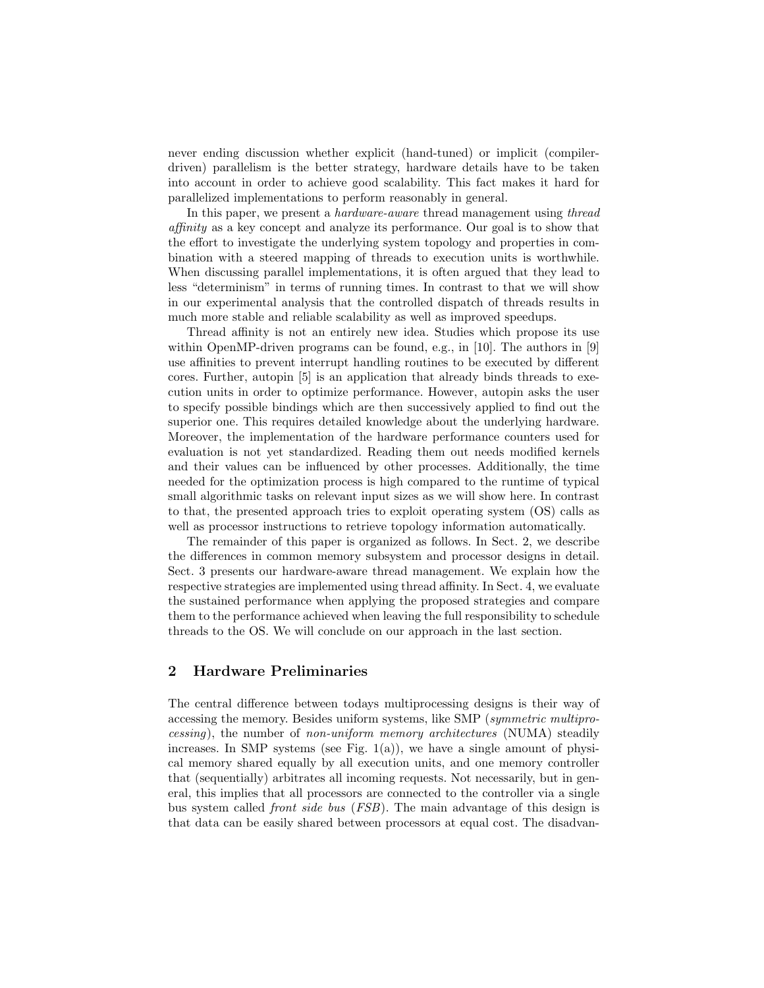never ending discussion whether explicit (hand-tuned) or implicit (compilerdriven) parallelism is the better strategy, hardware details have to be taken into account in order to achieve good scalability. This fact makes it hard for parallelized implementations to perform reasonably in general.

In this paper, we present a *hardware-aware* thread management using *thread* affinity as a key concept and analyze its performance. Our goal is to show that the effort to investigate the underlying system topology and properties in combination with a steered mapping of threads to execution units is worthwhile. When discussing parallel implementations, it is often argued that they lead to less "determinism" in terms of running times. In contrast to that we will show in our experimental analysis that the controlled dispatch of threads results in much more stable and reliable scalability as well as improved speedups.

Thread affinity is not an entirely new idea. Studies which propose its use within OpenMP-driven programs can be found, e.g., in [10]. The authors in [9] use affinities to prevent interrupt handling routines to be executed by different cores. Further, autopin [5] is an application that already binds threads to execution units in order to optimize performance. However, autopin asks the user to specify possible bindings which are then successively applied to find out the superior one. This requires detailed knowledge about the underlying hardware. Moreover, the implementation of the hardware performance counters used for evaluation is not yet standardized. Reading them out needs modified kernels and their values can be influenced by other processes. Additionally, the time needed for the optimization process is high compared to the runtime of typical small algorithmic tasks on relevant input sizes as we will show here. In contrast to that, the presented approach tries to exploit operating system (OS) calls as well as processor instructions to retrieve topology information automatically.

The remainder of this paper is organized as follows. In Sect. 2, we describe the differences in common memory subsystem and processor designs in detail. Sect. 3 presents our hardware-aware thread management. We explain how the respective strategies are implemented using thread affinity. In Sect. 4, we evaluate the sustained performance when applying the proposed strategies and compare them to the performance achieved when leaving the full responsibility to schedule threads to the OS. We will conclude on our approach in the last section.

# 2 Hardware Preliminaries

The central difference between todays multiprocessing designs is their way of accessing the memory. Besides uniform systems, like SMP (symmetric multiprocessing), the number of non-uniform memory architectures (NUMA) steadily increases. In SMP systems (see Fig.  $1(a)$ ), we have a single amount of physical memory shared equally by all execution units, and one memory controller that (sequentially) arbitrates all incoming requests. Not necessarily, but in general, this implies that all processors are connected to the controller via a single bus system called front side bus (FSB). The main advantage of this design is that data can be easily shared between processors at equal cost. The disadvan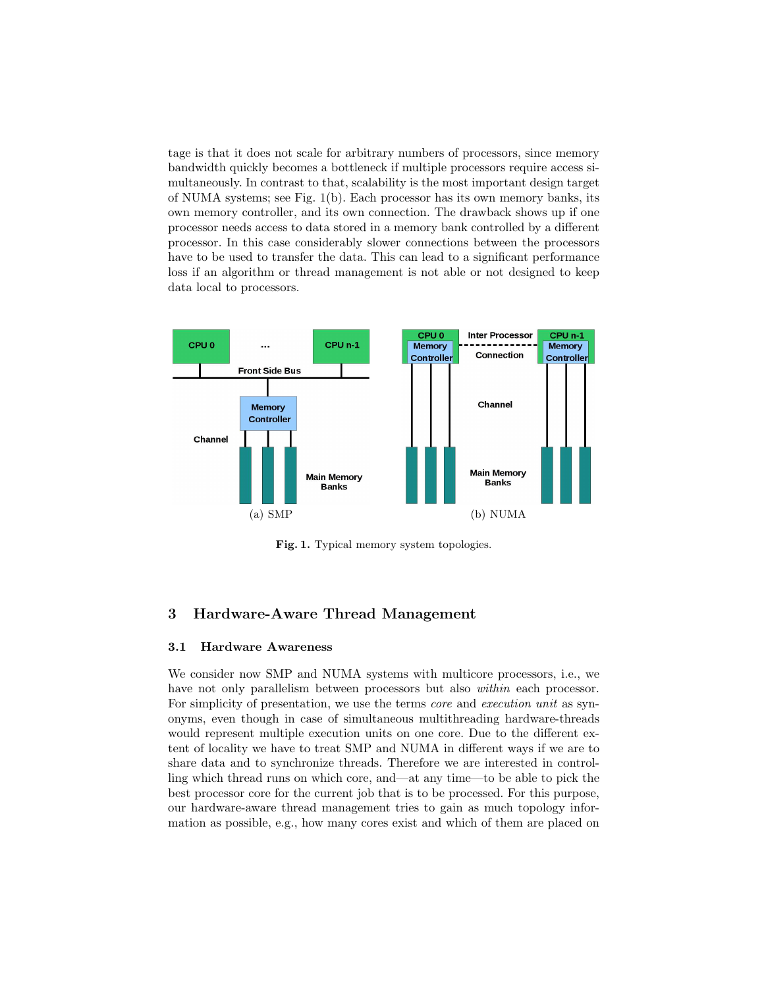tage is that it does not scale for arbitrary numbers of processors, since memory bandwidth quickly becomes a bottleneck if multiple processors require access simultaneously. In contrast to that, scalability is the most important design target of NUMA systems; see Fig. 1(b). Each processor has its own memory banks, its own memory controller, and its own connection. The drawback shows up if one processor needs access to data stored in a memory bank controlled by a different processor. In this case considerably slower connections between the processors have to be used to transfer the data. This can lead to a significant performance loss if an algorithm or thread management is not able or not designed to keep data local to processors.



Fig. 1. Typical memory system topologies.

# 3 Hardware-Aware Thread Management

#### 3.1 Hardware Awareness

We consider now SMP and NUMA systems with multicore processors, i.e., we have not only parallelism between processors but also *within* each processor. For simplicity of presentation, we use the terms *core* and *execution unit* as synonyms, even though in case of simultaneous multithreading hardware-threads would represent multiple execution units on one core. Due to the different extent of locality we have to treat SMP and NUMA in different ways if we are to share data and to synchronize threads. Therefore we are interested in controlling which thread runs on which core, and—at any time—to be able to pick the best processor core for the current job that is to be processed. For this purpose, our hardware-aware thread management tries to gain as much topology information as possible, e.g., how many cores exist and which of them are placed on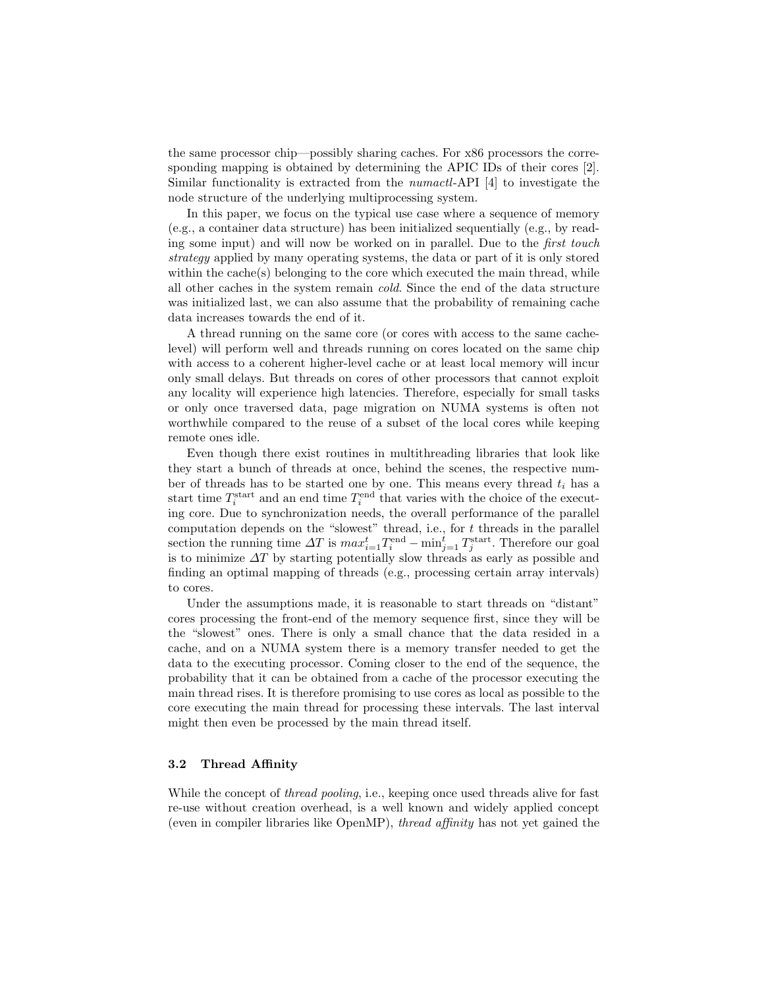the same processor chip—possibly sharing caches. For x86 processors the corresponding mapping is obtained by determining the APIC IDs of their cores [2]. Similar functionality is extracted from the numactl-API [4] to investigate the node structure of the underlying multiprocessing system.

In this paper, we focus on the typical use case where a sequence of memory (e.g., a container data structure) has been initialized sequentially (e.g., by reading some input) and will now be worked on in parallel. Due to the first touch strategy applied by many operating systems, the data or part of it is only stored within the cache(s) belonging to the core which executed the main thread, while all other caches in the system remain cold. Since the end of the data structure was initialized last, we can also assume that the probability of remaining cache data increases towards the end of it.

A thread running on the same core (or cores with access to the same cachelevel) will perform well and threads running on cores located on the same chip with access to a coherent higher-level cache or at least local memory will incur only small delays. But threads on cores of other processors that cannot exploit any locality will experience high latencies. Therefore, especially for small tasks or only once traversed data, page migration on NUMA systems is often not worthwhile compared to the reuse of a subset of the local cores while keeping remote ones idle.

Even though there exist routines in multithreading libraries that look like they start a bunch of threads at once, behind the scenes, the respective number of threads has to be started one by one. This means every thread  $t_i$  has a start time  $T_i^{\text{start}}$  and an end time  $T_i^{\text{end}}$  that varies with the choice of the executing core. Due to synchronization needs, the overall performance of the parallel computation depends on the "slowest" thread, i.e., for  $t$  threads in the parallel section the running time  $\Delta T$  is  $max_{i=1}^{t} T_i^{\text{end}} - \min_{j=1}^{t} T_j^{\text{start}}$ . Therefore our goal is to minimize  $\Delta T$  by starting potentially slow threads as early as possible and finding an optimal mapping of threads (e.g., processing certain array intervals) to cores.

Under the assumptions made, it is reasonable to start threads on "distant" cores processing the front-end of the memory sequence first, since they will be the "slowest" ones. There is only a small chance that the data resided in a cache, and on a NUMA system there is a memory transfer needed to get the data to the executing processor. Coming closer to the end of the sequence, the probability that it can be obtained from a cache of the processor executing the main thread rises. It is therefore promising to use cores as local as possible to the core executing the main thread for processing these intervals. The last interval might then even be processed by the main thread itself.

### 3.2 Thread Affinity

While the concept of *thread pooling*, i.e., keeping once used threads alive for fast re-use without creation overhead, is a well known and widely applied concept (even in compiler libraries like OpenMP), thread affinity has not yet gained the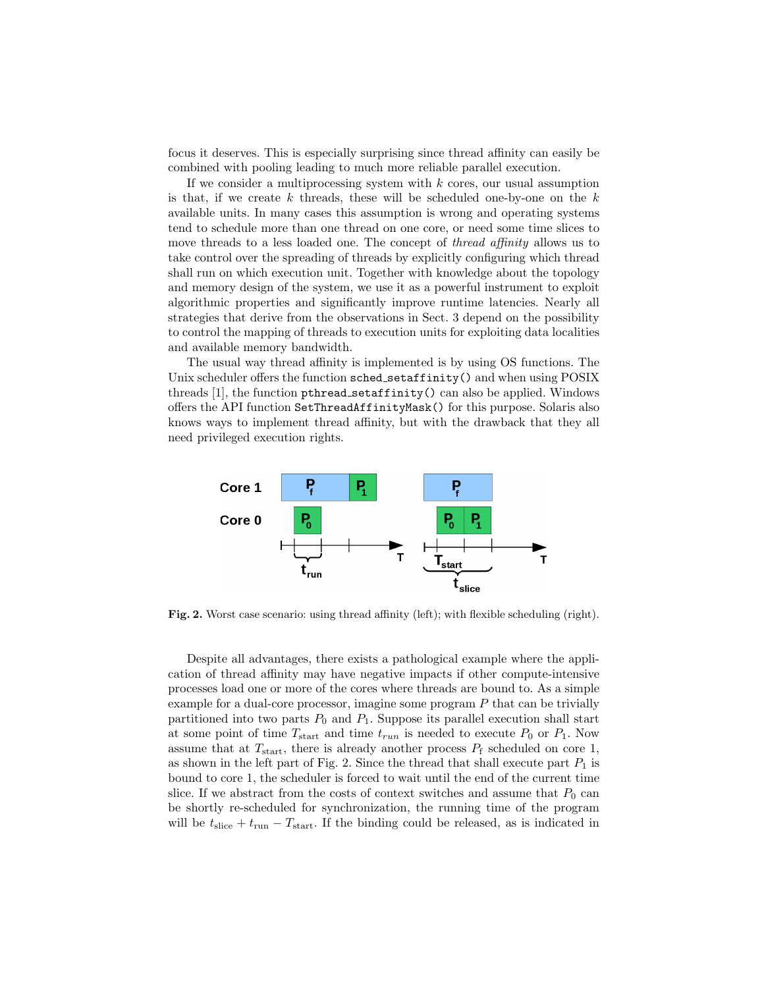focus it deserves. This is especially surprising since thread affinity can easily be combined with pooling leading to much more reliable parallel execution.

If we consider a multiprocessing system with  $k$  cores, our usual assumption is that, if we create  $k$  threads, these will be scheduled one-by-one on the  $k$ available units. In many cases this assumption is wrong and operating systems tend to schedule more than one thread on one core, or need some time slices to move threads to a less loaded one. The concept of *thread affinity* allows us to take control over the spreading of threads by explicitly configuring which thread shall run on which execution unit. Together with knowledge about the topology and memory design of the system, we use it as a powerful instrument to exploit algorithmic properties and significantly improve runtime latencies. Nearly all strategies that derive from the observations in Sect. 3 depend on the possibility to control the mapping of threads to execution units for exploiting data localities and available memory bandwidth.

The usual way thread affinity is implemented is by using OS functions. The Unix scheduler offers the function sched setaffinity() and when using POSIX threads [1], the function pthread setaffinity() can also be applied. Windows offers the API function SetThreadAffinityMask() for this purpose. Solaris also knows ways to implement thread affinity, but with the drawback that they all need privileged execution rights.



Fig. 2. Worst case scenario: using thread affinity (left); with flexible scheduling (right).

Despite all advantages, there exists a pathological example where the application of thread affinity may have negative impacts if other compute-intensive processes load one or more of the cores where threads are bound to. As a simple example for a dual-core processor, imagine some program P that can be trivially partitioned into two parts  $P_0$  and  $P_1$ . Suppose its parallel execution shall start at some point of time  $T_{\text{start}}$  and time  $t_{run}$  is needed to execute  $P_0$  or  $P_1$ . Now assume that at  $T_{\text{start}}$ , there is already another process  $P_{\text{f}}$  scheduled on core 1, as shown in the left part of Fig. 2. Since the thread that shall execute part  $P_1$  is bound to core 1, the scheduler is forced to wait until the end of the current time slice. If we abstract from the costs of context switches and assume that  $P_0$  can be shortly re-scheduled for synchronization, the running time of the program will be  $t_{\text{slice}} + t_{\text{run}} - T_{\text{start}}$ . If the binding could be released, as is indicated in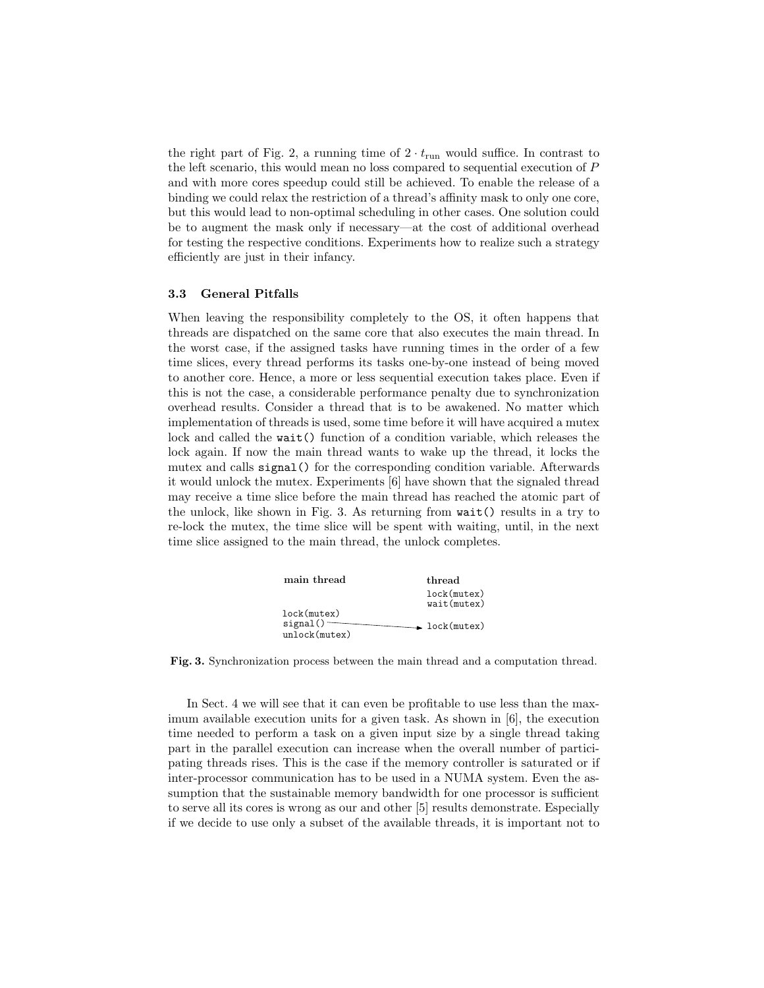the right part of Fig. 2, a running time of  $2 \cdot t_{\text{run}}$  would suffice. In contrast to the left scenario, this would mean no loss compared to sequential execution of P and with more cores speedup could still be achieved. To enable the release of a binding we could relax the restriction of a thread's affinity mask to only one core, but this would lead to non-optimal scheduling in other cases. One solution could be to augment the mask only if necessary—at the cost of additional overhead for testing the respective conditions. Experiments how to realize such a strategy efficiently are just in their infancy.

#### 3.3 General Pitfalls

When leaving the responsibility completely to the OS, it often happens that threads are dispatched on the same core that also executes the main thread. In the worst case, if the assigned tasks have running times in the order of a few time slices, every thread performs its tasks one-by-one instead of being moved to another core. Hence, a more or less sequential execution takes place. Even if this is not the case, a considerable performance penalty due to synchronization overhead results. Consider a thread that is to be awakened. No matter which implementation of threads is used, some time before it will have acquired a mutex lock and called the wait() function of a condition variable, which releases the lock again. If now the main thread wants to wake up the thread, it locks the mutex and calls signal() for the corresponding condition variable. Afterwards it would unlock the mutex. Experiments [6] have shown that the signaled thread may receive a time slice before the main thread has reached the atomic part of the unlock, like shown in Fig. 3. As returning from wait() results in a try to re-lock the mutex, the time slice will be spent with waiting, until, in the next time slice assigned to the main thread, the unlock completes.

| main thread   | thread                     |  |  |
|---------------|----------------------------|--|--|
|               | lock(mutex)<br>wait(mutex) |  |  |
| lock(mutes)   |                            |  |  |
| signal()      | - lock(mutex)              |  |  |
| unlock(mutex) |                            |  |  |

Fig. 3. Synchronization process between the main thread and a computation thread.

In Sect. 4 we will see that it can even be profitable to use less than the maximum available execution units for a given task. As shown in [6], the execution time needed to perform a task on a given input size by a single thread taking part in the parallel execution can increase when the overall number of participating threads rises. This is the case if the memory controller is saturated or if inter-processor communication has to be used in a NUMA system. Even the assumption that the sustainable memory bandwidth for one processor is sufficient to serve all its cores is wrong as our and other [5] results demonstrate. Especially if we decide to use only a subset of the available threads, it is important not to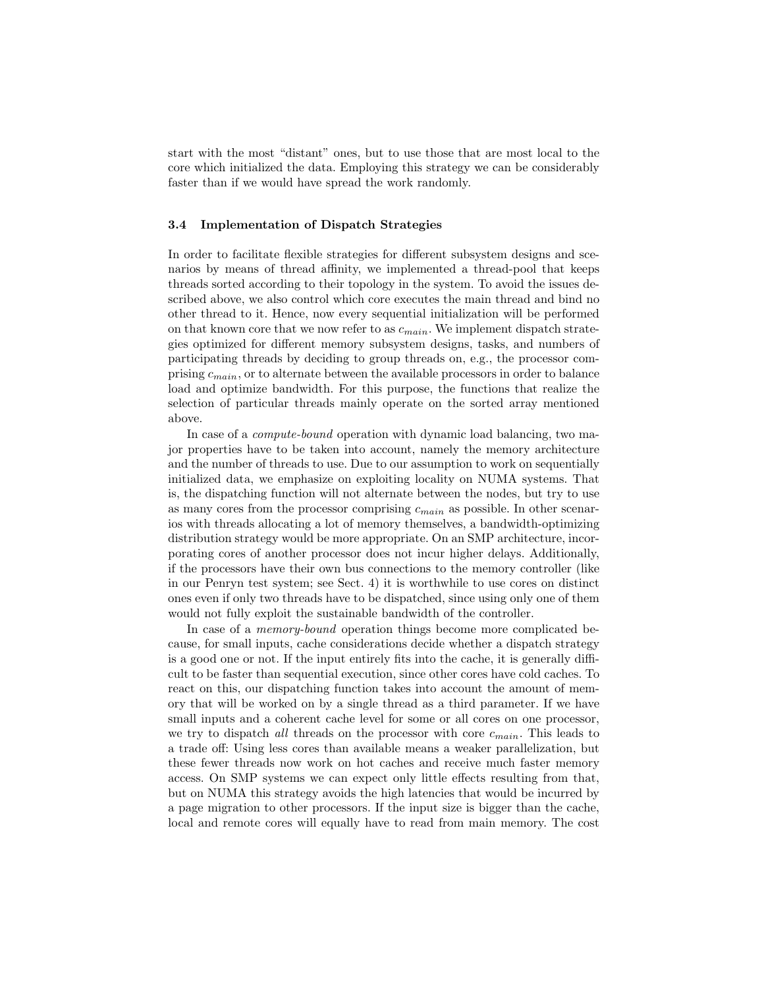start with the most "distant" ones, but to use those that are most local to the core which initialized the data. Employing this strategy we can be considerably faster than if we would have spread the work randomly.

#### 3.4 Implementation of Dispatch Strategies

In order to facilitate flexible strategies for different subsystem designs and scenarios by means of thread affinity, we implemented a thread-pool that keeps threads sorted according to their topology in the system. To avoid the issues described above, we also control which core executes the main thread and bind no other thread to it. Hence, now every sequential initialization will be performed on that known core that we now refer to as  $c_{main}$ . We implement dispatch strategies optimized for different memory subsystem designs, tasks, and numbers of participating threads by deciding to group threads on, e.g., the processor comprising  $c_{main}$ , or to alternate between the available processors in order to balance load and optimize bandwidth. For this purpose, the functions that realize the selection of particular threads mainly operate on the sorted array mentioned above.

In case of a *compute-bound* operation with dynamic load balancing, two major properties have to be taken into account, namely the memory architecture and the number of threads to use. Due to our assumption to work on sequentially initialized data, we emphasize on exploiting locality on NUMA systems. That is, the dispatching function will not alternate between the nodes, but try to use as many cores from the processor comprising  $c_{main}$  as possible. In other scenarios with threads allocating a lot of memory themselves, a bandwidth-optimizing distribution strategy would be more appropriate. On an SMP architecture, incorporating cores of another processor does not incur higher delays. Additionally, if the processors have their own bus connections to the memory controller (like in our Penryn test system; see Sect. 4) it is worthwhile to use cores on distinct ones even if only two threads have to be dispatched, since using only one of them would not fully exploit the sustainable bandwidth of the controller.

In case of a memory-bound operation things become more complicated because, for small inputs, cache considerations decide whether a dispatch strategy is a good one or not. If the input entirely fits into the cache, it is generally difficult to be faster than sequential execution, since other cores have cold caches. To react on this, our dispatching function takes into account the amount of memory that will be worked on by a single thread as a third parameter. If we have small inputs and a coherent cache level for some or all cores on one processor, we try to dispatch all threads on the processor with core  $c_{main}$ . This leads to a trade off: Using less cores than available means a weaker parallelization, but these fewer threads now work on hot caches and receive much faster memory access. On SMP systems we can expect only little effects resulting from that, but on NUMA this strategy avoids the high latencies that would be incurred by a page migration to other processors. If the input size is bigger than the cache, local and remote cores will equally have to read from main memory. The cost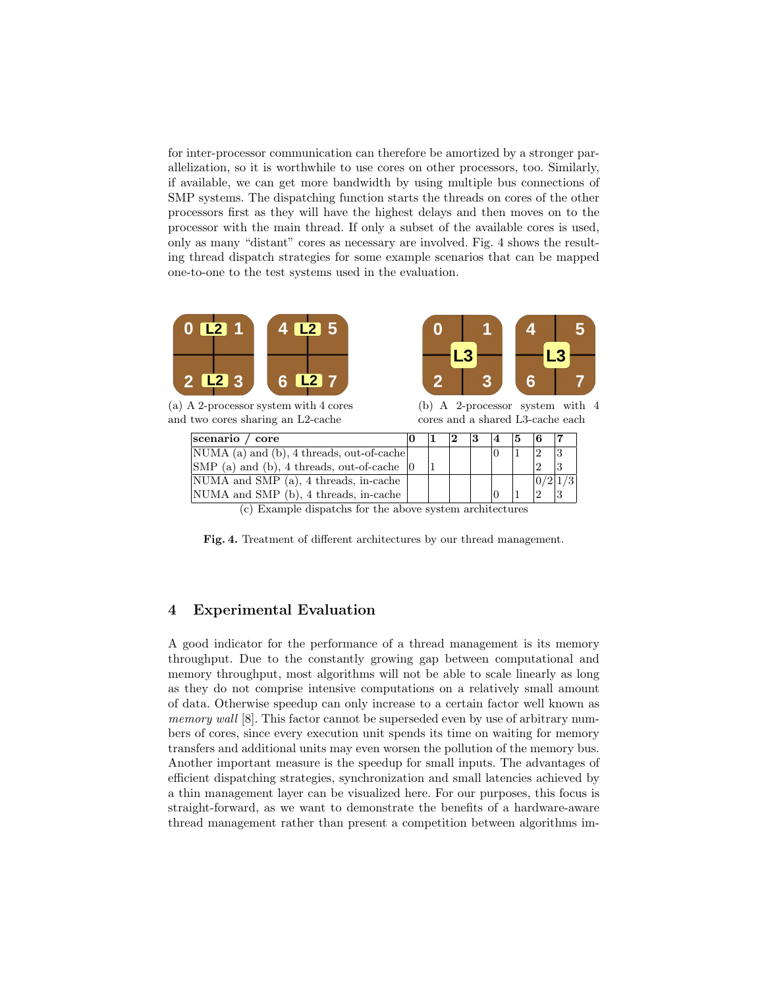for inter-processor communication can therefore be amortized by a stronger parallelization, so it is worthwhile to use cores on other processors, too. Similarly, if available, we can get more bandwidth by using multiple bus connections of SMP systems. The dispatching function starts the threads on cores of the other processors first as they will have the highest delays and then moves on to the processor with the main thread. If only a subset of the available cores is used, only as many "distant" cores as necessary are involved. Fig. 4 shows the resulting thread dispatch strategies for some example scenarios that can be mapped one-to-one to the test systems used in the evaluation.



(a) A 2-processor system with 4 cores and two cores sharing an L2-cache



(b) A 2-processor system with 4 cores and a shared L3-cache each

| scenario / core                               |  |  | 14 | 15 |  |
|-----------------------------------------------|--|--|----|----|--|
| NUMA (a) and (b), 4 threads, out-of-cache     |  |  |    |    |  |
| $ SMP(a)$ and (b), 4 threads, out-of-cache  0 |  |  |    |    |  |
| NUMA and SMP (a), 4 threads, in-cache         |  |  |    |    |  |
| NUMA and SMP (b), 4 threads, in-cache         |  |  |    |    |  |

(c) Example dispatchs for the above system architectures

Fig. 4. Treatment of different architectures by our thread management.

# 4 Experimental Evaluation

A good indicator for the performance of a thread management is its memory throughput. Due to the constantly growing gap between computational and memory throughput, most algorithms will not be able to scale linearly as long as they do not comprise intensive computations on a relatively small amount of data. Otherwise speedup can only increase to a certain factor well known as memory wall [8]. This factor cannot be superseded even by use of arbitrary numbers of cores, since every execution unit spends its time on waiting for memory transfers and additional units may even worsen the pollution of the memory bus. Another important measure is the speedup for small inputs. The advantages of efficient dispatching strategies, synchronization and small latencies achieved by a thin management layer can be visualized here. For our purposes, this focus is straight-forward, as we want to demonstrate the benefits of a hardware-aware thread management rather than present a competition between algorithms im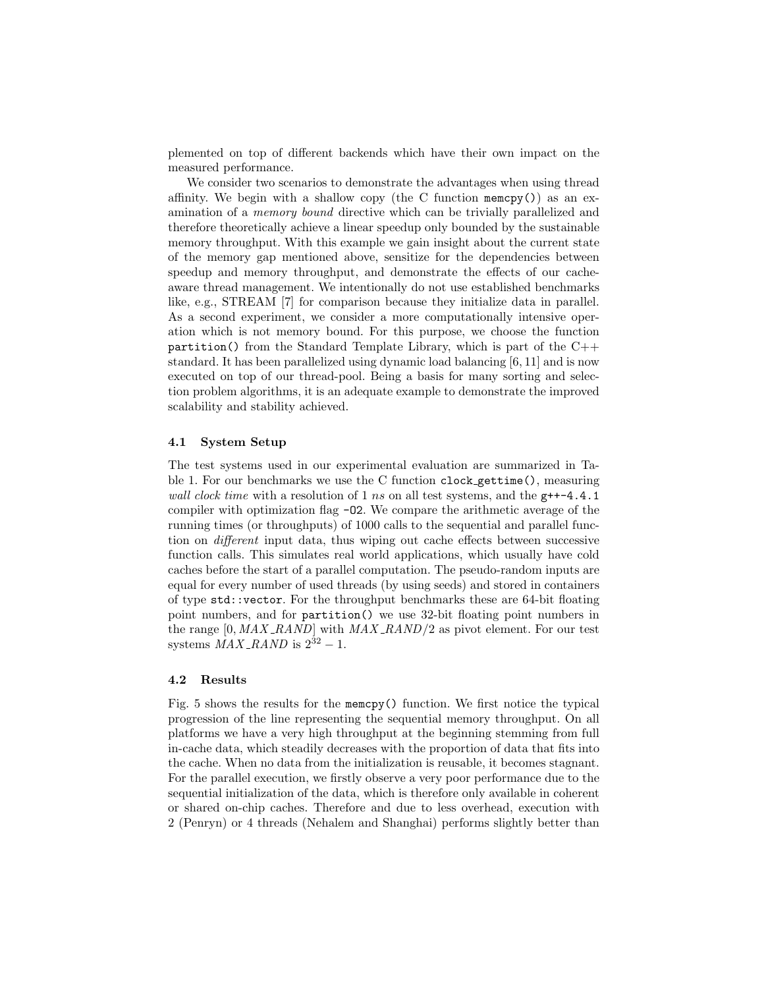plemented on top of different backends which have their own impact on the measured performance.

We consider two scenarios to demonstrate the advantages when using thread affinity. We begin with a shallow copy (the C function memcpy $()$ ) as an examination of a memory bound directive which can be trivially parallelized and therefore theoretically achieve a linear speedup only bounded by the sustainable memory throughput. With this example we gain insight about the current state of the memory gap mentioned above, sensitize for the dependencies between speedup and memory throughput, and demonstrate the effects of our cacheaware thread management. We intentionally do not use established benchmarks like, e.g., STREAM [7] for comparison because they initialize data in parallel. As a second experiment, we consider a more computationally intensive operation which is not memory bound. For this purpose, we choose the function partition() from the Standard Template Library, which is part of the C++ standard. It has been parallelized using dynamic load balancing [6, 11] and is now executed on top of our thread-pool. Being a basis for many sorting and selection problem algorithms, it is an adequate example to demonstrate the improved scalability and stability achieved.

#### 4.1 System Setup

The test systems used in our experimental evaluation are summarized in Table 1. For our benchmarks we use the C function clock gettime(), measuring wall clock time with a resolution of 1 ns on all test systems, and the  $g$ ++-4.4.1 compiler with optimization flag -O2. We compare the arithmetic average of the running times (or throughputs) of 1000 calls to the sequential and parallel function on different input data, thus wiping out cache effects between successive function calls. This simulates real world applications, which usually have cold caches before the start of a parallel computation. The pseudo-random inputs are equal for every number of used threads (by using seeds) and stored in containers of type std::vector. For the throughput benchmarks these are 64-bit floating point numbers, and for partition() we use 32-bit floating point numbers in the range  $[0, MAX\_RAND]$  with  $MAX\_RAND/2$  as pivot element. For our test systems  $MAX\_RAND$  is  $2^{32} - 1$ .

#### 4.2 Results

Fig. 5 shows the results for the memcpy() function. We first notice the typical progression of the line representing the sequential memory throughput. On all platforms we have a very high throughput at the beginning stemming from full in-cache data, which steadily decreases with the proportion of data that fits into the cache. When no data from the initialization is reusable, it becomes stagnant. For the parallel execution, we firstly observe a very poor performance due to the sequential initialization of the data, which is therefore only available in coherent or shared on-chip caches. Therefore and due to less overhead, execution with 2 (Penryn) or 4 threads (Nehalem and Shanghai) performs slightly better than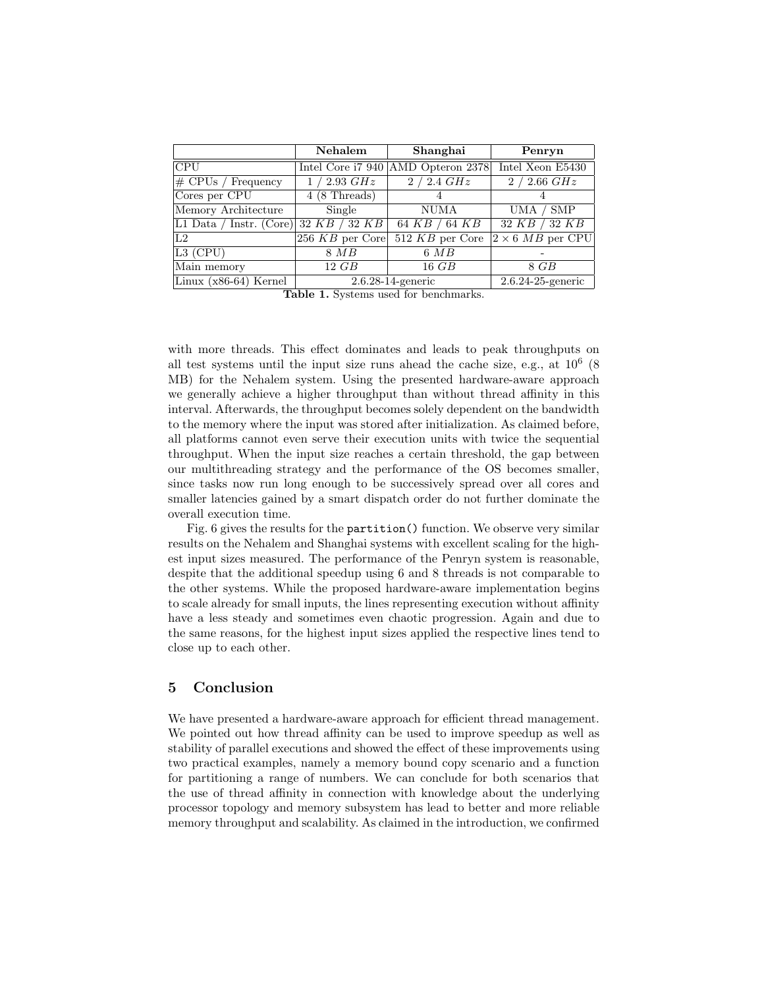|                                           | Nehalem                | Shanghai                           | Penryn                   |
|-------------------------------------------|------------------------|------------------------------------|--------------------------|
| <b>CPU</b>                                |                        | Intel Core i7 940 AMD Opteron 2378 | Intel Xeon E5430         |
| $\#$ CPUs / Frequency                     | $1/2.93$ $GHz$         | $2/2.4$ GHz                        | $\overline{27}$ 2.66 GHz |
| Cores per CPU                             | 4 (8 Threads)          |                                    |                          |
| Memory Architecture                       | Single                 | <b>NUMA</b>                        | UMA / SMP                |
| L1 Data / Instr. (Core) 32 $KB$ / 32 $KB$ |                        | 64 KB / 64 KB                      | 32 KB / 32 KB            |
| L2                                        | $256 KB$ per Core      | 512 KB per Core                    | $2 \times 6$ MB per CPU  |
| $L3$ (CPU)                                | 8 MB                   | 6MB                                |                          |
| Main memory                               | $12 \text{ } GB$       | $16 \; GB$                         | 8 <i>GB</i>              |
| $\overline{\text{Linux}}$ (x86-64) Kernel | $2.6.28 - 14$ -generic | $2.6.24 - 25$ -generic             |                          |

Table 1. Systems used for benchmarks.

with more threads. This effect dominates and leads to peak throughputs on all test systems until the input size runs ahead the cache size, e.g., at  $10^6$  (8) MB) for the Nehalem system. Using the presented hardware-aware approach we generally achieve a higher throughput than without thread affinity in this interval. Afterwards, the throughput becomes solely dependent on the bandwidth to the memory where the input was stored after initialization. As claimed before, all platforms cannot even serve their execution units with twice the sequential throughput. When the input size reaches a certain threshold, the gap between our multithreading strategy and the performance of the OS becomes smaller, since tasks now run long enough to be successively spread over all cores and smaller latencies gained by a smart dispatch order do not further dominate the overall execution time.

Fig. 6 gives the results for the partition() function. We observe very similar results on the Nehalem and Shanghai systems with excellent scaling for the highest input sizes measured. The performance of the Penryn system is reasonable, despite that the additional speedup using 6 and 8 threads is not comparable to the other systems. While the proposed hardware-aware implementation begins to scale already for small inputs, the lines representing execution without affinity have a less steady and sometimes even chaotic progression. Again and due to the same reasons, for the highest input sizes applied the respective lines tend to close up to each other.

# 5 Conclusion

We have presented a hardware-aware approach for efficient thread management. We pointed out how thread affinity can be used to improve speedup as well as stability of parallel executions and showed the effect of these improvements using two practical examples, namely a memory bound copy scenario and a function for partitioning a range of numbers. We can conclude for both scenarios that the use of thread affinity in connection with knowledge about the underlying processor topology and memory subsystem has lead to better and more reliable memory throughput and scalability. As claimed in the introduction, we confirmed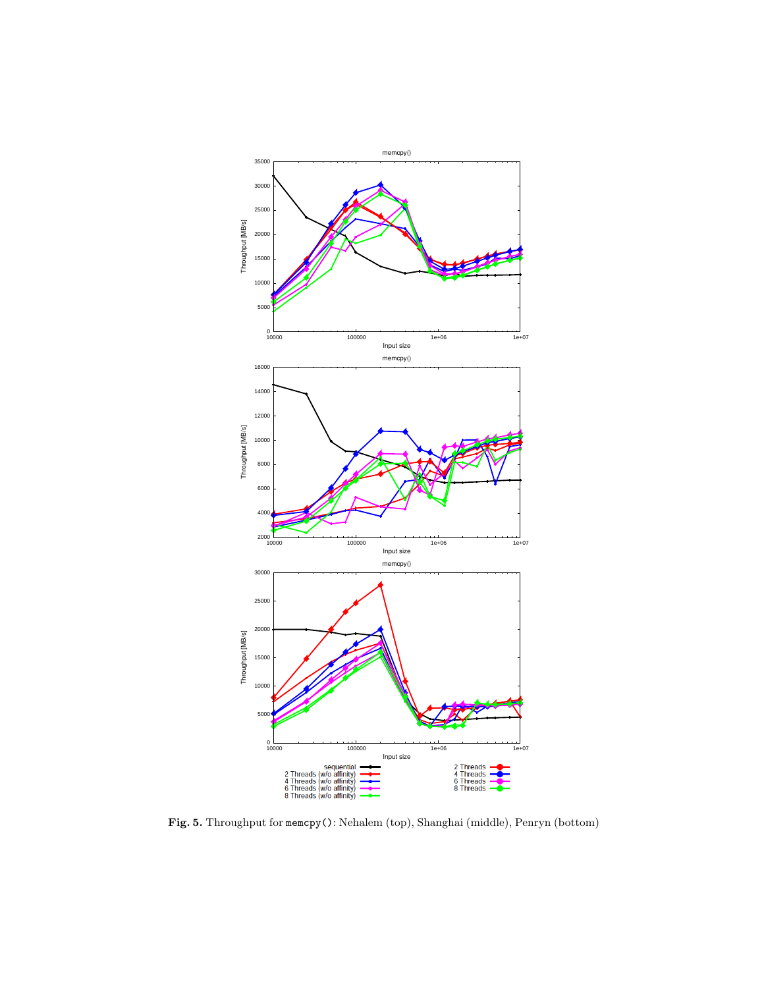

Fig. 5. Throughput for memcpy(): Nehalem (top), Shanghai (middle), Penryn (bottom)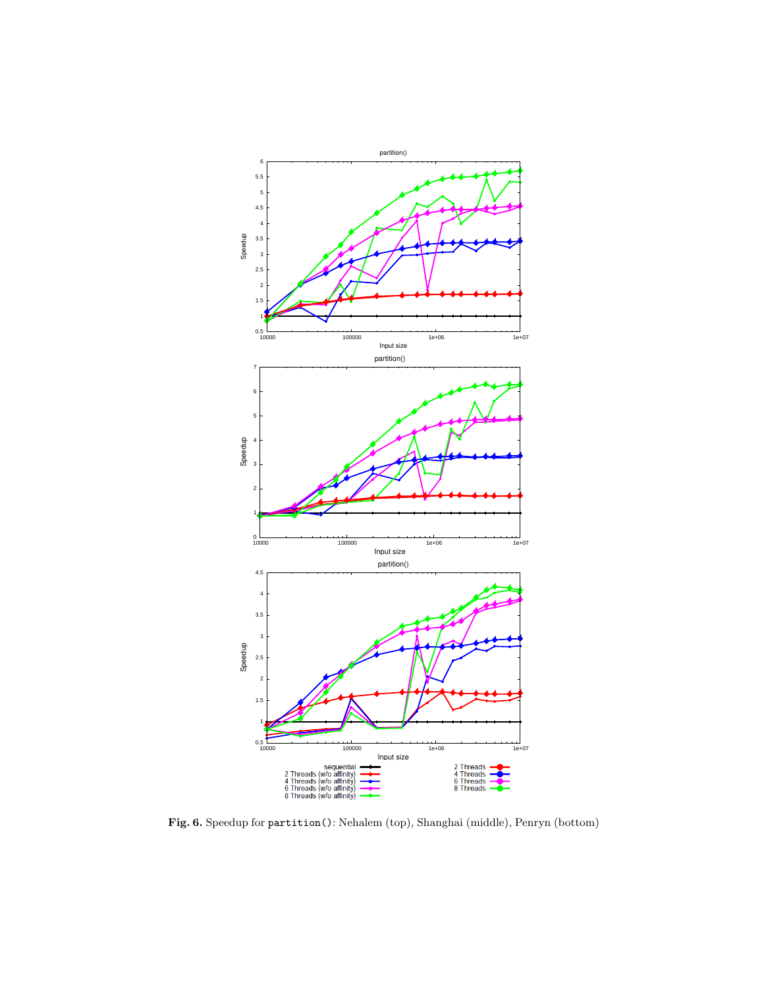

Fig. 6. Speedup for partition(): Nehalem (top), Shanghai (middle), Penryn (bottom)